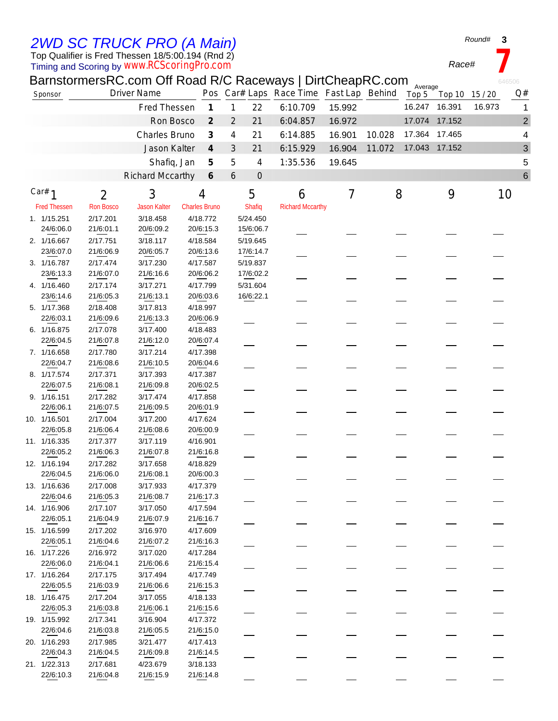*2WD SC TRUCK PRO (A Main)*

Timing and Scoring by Top Qualifier is Fred Thessen 18/5:00.194 (Rnd 2) *www.RCScoringPro.com*

*Round#* **3**

*Race#* **7**

|  |                          |                       | BarnstormersRC.com Off Road R/C Raceways   DirtCheapRC.com |                      |                             |   |                       |                                         |        |        |                  |        |        | 646506         |
|--|--------------------------|-----------------------|------------------------------------------------------------|----------------------|-----------------------------|---|-----------------------|-----------------------------------------|--------|--------|------------------|--------|--------|----------------|
|  | Sponsor                  |                       | <b>Driver Name</b>                                         |                      |                             |   |                       | Pos Car# Laps Race Time Fast Lap Behind |        |        | Average<br>Top 5 | Top 10 | 15/20  | Q#             |
|  |                          |                       | Fred Thessen                                               |                      | $\boldsymbol{\mathcal{I}}$  | 1 | 22                    | 6:10.709                                | 15.992 |        | 16.247           | 16.391 | 16.973 | 1              |
|  |                          |                       | Ron Bosco                                                  |                      | $\mathcal{Z}_{\mathcal{C}}$ | 2 | 21                    | 6:04.857                                | 16.972 |        | 17.074           | 17.152 |        | $\overline{2}$ |
|  |                          |                       |                                                            |                      |                             |   |                       |                                         |        |        |                  |        |        |                |
|  |                          |                       | Charles Bruno                                              |                      | $\mathcal{J}_{\mathcal{S}}$ | 4 | 21                    | 6:14.885                                | 16.901 | 10.028 | 17.364           | 17.465 |        | 4              |
|  |                          |                       | Jason Kalter                                               |                      | $\boldsymbol{4}$            | 3 | 21                    | 6:15.929                                | 16.904 | 11.072 | 17.043 17.152    |        |        | 3              |
|  |                          |                       | Shafiq, Jan                                                |                      | $\pmb{\mathcal{F}}$         | 5 | $\overline{4}$        | 1:35.536                                | 19.645 |        |                  |        |        | 5              |
|  |                          |                       | <b>Richard Mccarthy</b>                                    |                      | 6                           | 6 | $\overline{0}$        |                                         |        |        |                  |        |        | 6              |
|  | Car# $1$                 | $\overline{2}$        | 3                                                          | 4                    |                             |   | 5                     | 6                                       | 7      | 8      |                  | 9      | 10     |                |
|  | <b>Fred Thessen</b>      | <b>Ron Bosco</b>      | <b>Jason Kalter</b>                                        | <b>Charles Bruno</b> |                             |   | Shafiq                | <b>Richard Mccarthy</b>                 |        |        |                  |        |        |                |
|  | 1. 1/15.251              | 2/17.201              | 3/18.458                                                   | 4/18.772             |                             |   | 5/24.450              |                                         |        |        |                  |        |        |                |
|  | 24/6:06.0                | 21/6:01.1             | 20/6:09.2                                                  | 20/6:15.3            |                             |   | 15/6:06.7             |                                         |        |        |                  |        |        |                |
|  | 2. 1/16.667              | 2/17.751              | 3/18.117                                                   | 4/18.584             |                             |   | 5/19.645              |                                         |        |        |                  |        |        |                |
|  | 23/6:07.0                | 21/6:06.9             | 20/6:05.7                                                  | 20/6:13.6            |                             |   | 17/6:14.7             |                                         |        |        |                  |        |        |                |
|  | 3. 1/16.787              | 2/17.474              | 3/17.230                                                   | 4/17.587             |                             |   | 5/19.837              |                                         |        |        |                  |        |        |                |
|  | 23/6:13.3                | 21/6:07.0             | 21/6:16.6                                                  | 20/6:06.2            |                             |   | 17/6:02.2             |                                         |        |        |                  |        |        |                |
|  |                          |                       |                                                            | 4/17.799             |                             |   |                       |                                         |        |        |                  |        |        |                |
|  | 4. 1/16.460<br>23/6:14.6 | 2/17.174<br>21/6:05.3 | 3/17.271                                                   | 20/6:03.6            |                             |   | 5/31.604<br>16/6:22.1 |                                         |        |        |                  |        |        |                |
|  |                          |                       | 21/6:13.1                                                  |                      |                             |   |                       |                                         |        |        |                  |        |        |                |
|  | 5. 1/17.368              | 2/18.408              | 3/17.813                                                   | 4/18.997             |                             |   |                       |                                         |        |        |                  |        |        |                |
|  | 22/6:03.1                | 21/6:09.6             | 21/6:13.3                                                  | 20/6:06.9            |                             |   |                       |                                         |        |        |                  |        |        |                |
|  | 6. 1/16.875              | 2/17.078              | 3/17.400                                                   | 4/18.483             |                             |   |                       |                                         |        |        |                  |        |        |                |
|  | 22/6:04.5                | 21/6:07.8             | 21/6:12.0                                                  | 20/6:07.4            |                             |   |                       |                                         |        |        |                  |        |        |                |
|  | 7. 1/16.658              | 2/17.780              | 3/17.214                                                   | 4/17.398             |                             |   |                       |                                         |        |        |                  |        |        |                |
|  | 22/6:04.7                | 21/6:08.6             | 21/6:10.5                                                  | 20/6:04.6            |                             |   |                       |                                         |        |        |                  |        |        |                |
|  | 8. 1/17.574              | 2/17.371              | 3/17.393                                                   | 4/17.387             |                             |   |                       |                                         |        |        |                  |        |        |                |
|  | 22/6:07.5                | 21/6:08.1             | 21/6:09.8                                                  | 20/6:02.5            |                             |   |                       |                                         |        |        |                  |        |        |                |
|  | 9. 1/16.151              | 2/17.282              | 3/17.474                                                   | 4/17.858             |                             |   |                       |                                         |        |        |                  |        |        |                |
|  | 22/6:06.1                | 21/6:07.5             | 21/6:09.5                                                  | 20/6:01.9            |                             |   |                       |                                         |        |        |                  |        |        |                |
|  | 10. 1/16.501             | 2/17.004              | 3/17.200                                                   | 4/17.624             |                             |   |                       |                                         |        |        |                  |        |        |                |
|  | 22/6:05.8                | 21/6:06.4             | 21/6:08.6                                                  | 20/6:00.9            |                             |   |                       |                                         |        |        |                  |        |        |                |
|  | 11. 1/16.335             | 2/17.377              | 3/17.119                                                   | 4/16.901             |                             |   |                       |                                         |        |        |                  |        |        |                |
|  | 22/6:05.2                | 21/6:06.3             | 21/6:07.8                                                  | 21/6:16.8            |                             |   |                       |                                         |        |        |                  |        |        |                |
|  | 12. 1/16.194             | 2/17.282              | 3/17.658                                                   | 4/18.829             |                             |   |                       |                                         |        |        |                  |        |        |                |
|  | 22/6:04.5                | 21/6:06.0             | 21/6:08.1                                                  | 20/6:00.3            |                             |   |                       |                                         |        |        |                  |        |        |                |
|  | 13. 1/16.636             | 2/17.008              | 3/17.933                                                   | 4/17.379             |                             |   |                       |                                         |        |        |                  |        |        |                |
|  | 22/6:04.6                | 21/6:05.3             | 21/6:08.7                                                  | 21/6:17.3            |                             |   |                       |                                         |        |        |                  |        |        |                |
|  | 14. 1/16.906             | 2/17.107              | 3/17.050                                                   | 4/17.594             |                             |   |                       |                                         |        |        |                  |        |        |                |
|  | 22/6:05.1                | 21/6:04.9             | 21/6:07.9                                                  | 21/6:16.7            |                             |   |                       |                                         |        |        |                  |        |        |                |
|  | 15. 1/16.599             | 2/17.202              | 3/16.970                                                   | 4/17.609             |                             |   |                       |                                         |        |        |                  |        |        |                |
|  | 22/6:05.1                | 21/6:04.6             | 21/6:07.2                                                  | 21/6:16.3            |                             |   |                       |                                         |        |        |                  |        |        |                |
|  | 16. 1/17.226             | 2/16.972              | 3/17.020                                                   | 4/17.284             |                             |   |                       |                                         |        |        |                  |        |        |                |
|  | 22/6:06.0                | 21/6:04.1             | 21/6:06.6                                                  | 21/6:15.4            |                             |   |                       |                                         |        |        |                  |        |        |                |
|  | 17. 1/16.264             | 2/17.175              | 3/17.494                                                   | 4/17.749             |                             |   |                       |                                         |        |        |                  |        |        |                |
|  | 22/6:05.5                | 21/6:03.9             | 21/6:06.6                                                  | 21/6:15.3            |                             |   |                       |                                         |        |        |                  |        |        |                |
|  | 18. 1/16.475             | 2/17.204              | 3/17.055                                                   | 4/18.133             |                             |   |                       |                                         |        |        |                  |        |        |                |
|  | 22/6:05.3                | 21/6:03.8             | 21/6:06.1                                                  | 21/6:15.6            |                             |   |                       |                                         |        |        |                  |        |        |                |
|  | 19. 1/15.992             | 2/17.341              | 3/16.904                                                   | 4/17.372             |                             |   |                       |                                         |        |        |                  |        |        |                |
|  | 22/6:04.6                | 21/6:03.8             | 21/6:05.5                                                  | 21/6:15.0            |                             |   |                       |                                         |        |        |                  |        |        |                |
|  | 20. 1/16.293             | 2/17.985              | 3/21.477                                                   | 4/17.413             |                             |   |                       |                                         |        |        |                  |        |        |                |
|  | 22/6:04.3                | 21/6:04.5             | 21/6:09.8                                                  | 21/6:14.5            |                             |   |                       |                                         |        |        |                  |        |        |                |
|  | 21. 1/22.313             | 2/17.681              | 4/23.679                                                   | 3/18.133             |                             |   |                       |                                         |        |        |                  |        |        |                |
|  | 22/6:10.3                | 21/6:04.8             | 21/6:15.9                                                  | 21/6:14.8            |                             |   |                       |                                         |        |        |                  |        |        |                |